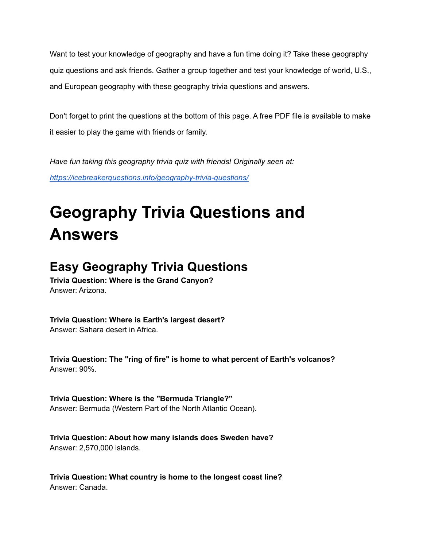Want to test your knowledge of geography and have a fun time doing it? Take these geography quiz questions and ask friends. Gather a group together and test your knowledge of world, U.S., and European geography with these geography trivia questions and answers.

Don't forget to print the questions at the bottom of this page. A free PDF file is available to make it easier to play the game with friends or family.

*Have fun taking this geography trivia quiz with friends! Originally seen at: <https://icebreakerquestions.info/geography-trivia-questions/>*

# **Geography Trivia Questions and Answers**

# **Easy Geography Trivia Questions**

**Trivia Question: Where is the Grand Canyon?** Answer: Arizona.

**Trivia Question: Where is Earth's largest desert?** Answer: Sahara desert in Africa.

**Trivia Question: The "ring of fire" is home to what percent of Earth's volcanos?** Answer: 90%.

**Trivia Question: Where is the "Bermuda Triangle?"** Answer: Bermuda (Western Part of the North Atlantic Ocean).

**Trivia Question: About how many islands does Sweden have?** Answer: 2,570,000 islands.

**Trivia Question: What country is home to the longest coast line?** Answer: Canada.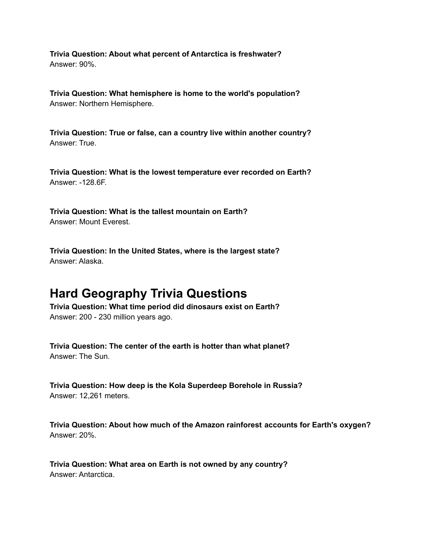**Trivia Question: About what percent of Antarctica is freshwater?** Answer: 90%.

**Trivia Question: What hemisphere is home to the world's population?** Answer: Northern Hemisphere.

**Trivia Question: True or false, can a country live within another country?** Answer: True.

**Trivia Question: What is the lowest temperature ever recorded on Earth?** Answer: -128.6F.

**Trivia Question: What is the tallest mountain on Earth?** Answer: Mount Everest.

**Trivia Question: In the United States, where is the largest state?** Answer: Alaska.

## **Hard Geography Trivia Questions**

**Trivia Question: What time period did dinosaurs exist on Earth?** Answer: 200 - 230 million years ago.

**Trivia Question: The center of the earth is hotter than what planet?** Answer: The Sun.

**Trivia Question: How deep is the Kola Superdeep Borehole in Russia?** Answer: 12,261 meters.

**Trivia Question: About how much of the Amazon rainforest accounts for Earth's oxygen?** Answer: 20%.

**Trivia Question: What area on Earth is not owned by any country?** Answer: Antarctica.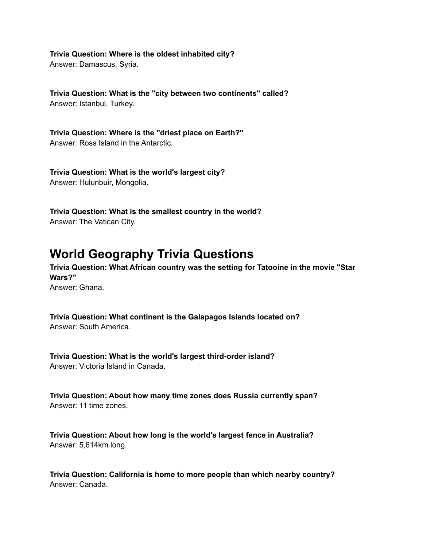**Trivia Question: Where is the oldest inhabited city?** Answer: Damascus, Syria.

**Trivia Question: What is the "city between two continents" called?** Answer: Istanbul, Turkey.

**Trivia Question: Where is the "driest place on Earth?"** Answer: Ross Island in the Antarctic.

**Trivia Question: What is the world's largest city?** Answer: Hulunbuir, Mongolia.

**Trivia Question: What is the smallest country in the world?** Answer: The Vatican City.

## **World Geography Trivia Questions**

**Trivia Question: What African country was the setting for Tatooine in the movie "Star Wars?"** Answer: Ghana.

**Trivia Question: What continent is the Galapagos Islands located on?** Answer: South America.

**Trivia Question: What is the world's largest third-order island?** Answer: Victoria Island in Canada.

**Trivia Question: About how many time zones does Russia currently span?** Answer: 11 time zones.

**Trivia Question: About how long is the world's largest fence in Australia?** Answer: 5,614km long.

**Trivia Question: California is home to more people than which nearby country?** Answer: Canada.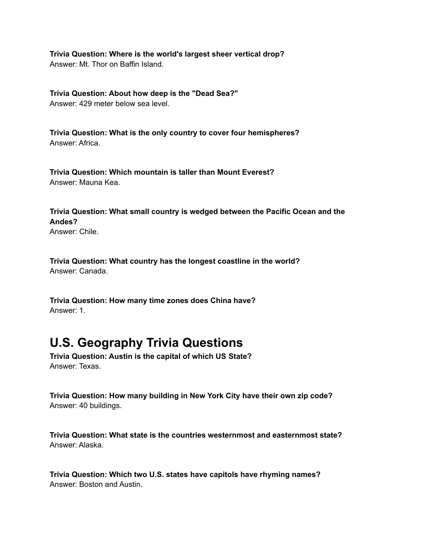**Trivia Question: Where is the world's largest sheer vertical drop?** Answer: Mt. Thor on Baffin Island.

**Trivia Question: About how deep is the "Dead Sea?"** Answer: 429 meter below sea level.

**Trivia Question: What is the only country to cover four hemispheres?** Answer: Africa.

**Trivia Question: Which mountain is taller than Mount Everest?** Answer: Mauna Kea.

**Trivia Question: What small country is wedged between the Pacific Ocean and the Andes?**

Answer: Chile.

**Trivia Question: What country has the longest coastline in the world?** Answer: Canada.

**Trivia Question: How many time zones does China have?** Answer: 1.

#### **U.S. Geography Trivia Questions**

**Trivia Question: Austin is the capital of which US State?** Answer: Texas.

**Trivia Question: How many building in New York City have their own zip code?** Answer: 40 buildings.

**Trivia Question: What state is the countries westernmost and easternmost state?** Answer: Alaska.

**Trivia Question: Which two U.S. states have capitols have rhyming names?** Answer: Boston and Austin.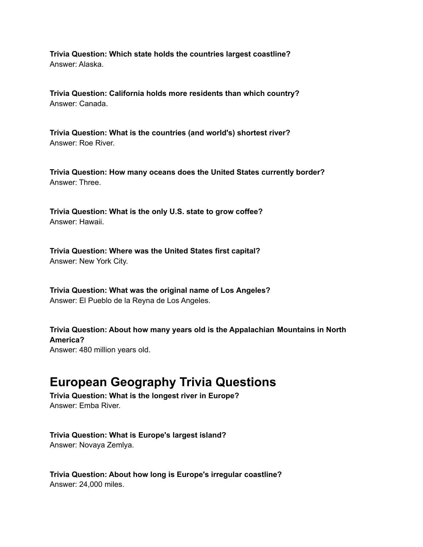**Trivia Question: Which state holds the countries largest coastline?** Answer: Alaska.

**Trivia Question: California holds more residents than which country?** Answer: Canada.

**Trivia Question: What is the countries (and world's) shortest river?** Answer: Roe River.

**Trivia Question: How many oceans does the United States currently border?** Answer: Three.

**Trivia Question: What is the only U.S. state to grow coffee?** Answer: Hawaii.

**Trivia Question: Where was the United States first capital?** Answer: New York City.

**Trivia Question: What was the original name of Los Angeles?** Answer: El Pueblo de la Reyna de Los Angeles.

**Trivia Question: About how many years old is the Appalachian Mountains in North America?** Answer: 480 million years old.

#### **European Geography Trivia Questions**

**Trivia Question: What is the longest river in Europe?** Answer: Emba River.

**Trivia Question: What is Europe's largest island?** Answer: Novaya Zemlya.

**Trivia Question: About how long is Europe's irregular coastline?** Answer: 24,000 miles.